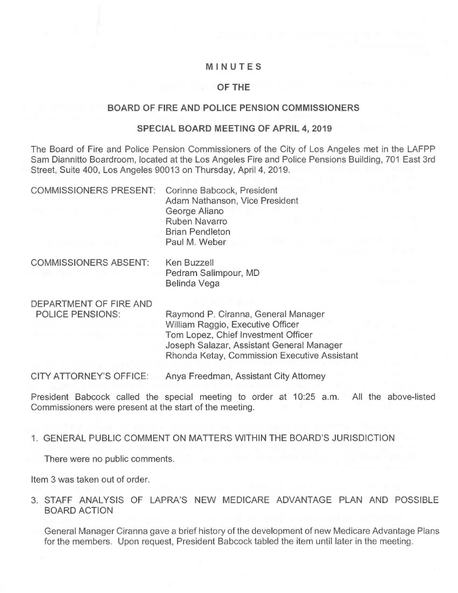# MINUTES

## OF THE

### BOARD OF FIRE AND POLICE PENSION COMMISSIONERS

### SPECIAL BOARD MEETING OF APRIL 4, 2019

The Board of Fire and Police Pension Commissioners of the City of Los Angeles met in the LAFPP Sam Diannitto Boardroom, located at the Los Angeles Fire and Police Pensions Building, 701 East 3rd Street, Suite 400, Los Angeles 90013 on Thursday, April 4, 2019.

| <b>COMMISSIONERS PRESENT:</b>                     | Corinne Babcock, President<br>Adam Nathanson, Vice President<br>George Aliano<br>Ruben Navarro<br><b>Brian Pendleton</b><br>Paul M. Weber                                                                    |
|---------------------------------------------------|--------------------------------------------------------------------------------------------------------------------------------------------------------------------------------------------------------------|
| <b>COMMISSIONERS ABSENT:</b>                      | Ken Buzzell<br>Pedram Salimpour, MD<br>Belinda Vega                                                                                                                                                          |
| DEPARTMENT OF FIRE AND<br><b>POLICE PENSIONS:</b> | Raymond P. Ciranna, General Manager<br>William Raggio, Executive Officer<br>Tom Lopez, Chief Investment Officer<br>Joseph Salazar, Assistant General Manager<br>Rhonda Ketay, Commission Executive Assistant |
| <b>CITY ATTORNEY'S OFFICE:</b>                    | Anya Freedman, Assistant City Attorney                                                                                                                                                                       |

President Babcock called the special meeting to order at 10:25 a.m. All the above-listed Commissioners were present at the start of the meeting.

### 1. GENERAL PUBLIC COMMENT ON MATTERS WITHIN THE BOARD'S JURISDICTION

There were no public comments.

Item 3 was taken out of order.

3. STAFF ANALYSIS OF LAPRA'S NEW MEDICARE ADVANTAGE PLAN AND POSSIBLE BOARD ACTION

General Manager Ciranna gave a brief history of the development of new Medicare Advantage Plans for the members. Upon request, President Babcock tabled the item until later in the meeting.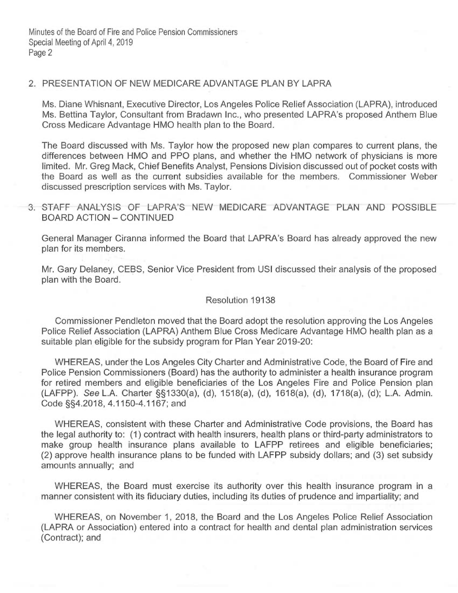Minutes of the Board of Fire and Police Pension Commissioners Special Meeting of April 4, 2019 Page 2

# 2. PRESENTATION OF NEW MEDICARE ADVANTAGE PLAN BY LAPRA

Ms. Diane Whisnant, Executive Director, Los Angeles Police Relief Association (LAPRA), introduced Ms. Bettina Taylor, Consultant from Bradawn Inc., who presented LAPRA's proposed Anthem Blue Cross Medicare Advantage HMO health plan to the Board.

The Board discussed with Ms. Taylor how the proposed new plan compares to current plans, the differences between HMO and PPO plans, and whether the HMO network of physicians is more limited. Mr. Greg Mack, Chief Benefits Analyst, Pensions Division discussed out of pocket costs with the Board as well as the current subsidies available for the members. Commissioner Weber discussed prescription services with Ms. Taylor.

3. STAFF ANALYSIS OF LAPRA'S NEW MEDICARE ADVANTAGE PLAN AND POSSIBLE BOARD ACTION — CONTINUED

General Manager Ciranna informed the Board that LAPRA's Board has already approved the new plan for its members.

Mr. Gary Delaney, CEBS, Senior Vice President from USI discussed their analysis of the proposed plan with the Board.

#### Resolution 19138

Commissioner Pendleton moved that the Board adopt the resolution approving the Los Angeles Police Relief Association (LAPRA) Anthem Blue Cross Medicare Advantage HMO health plan as a suitable plan eligible for the subsidy program for Plan Year 2019-20:

WHEREAS, under the Los Angeles City Charter and Administrative Code, the Board of Fire and Police Pension Commissioners (Board) has the authority to administer a health insurance program for retired members and eligible beneficiaries of the Los Angeles Fire and Police Pension plan (LAFPP). See L.A. Charter §§1330(a), (d), 1518(a), (d), 1618(a), (d), 1718(a), (d); L.A. Admin. Code §§4.2018, 4.1150-4.1167; and

WHEREAS, consistent with these Charter and Administrative Code provisions, the Board has the legal authority to: (1) contract with health insurers, health plans or third-party administrators to make group health insurance plans available to LAFPP retirees and eligible beneficiaries; (2) approve health insurance plans to be funded with LAFPP subsidy dollars; and (3) set subsidy amounts annually; and

WHEREAS, the Board must exercise its authority over this health insurance program in a manner consistent with its fiduciary duties, including its duties of prudence and impartiality; and

WHEREAS, on November 1, 2018, the Board and the Los Angeles Police Relief Association (LAPRA or Association) entered into a contract for health and dental plan administration services (Contract); and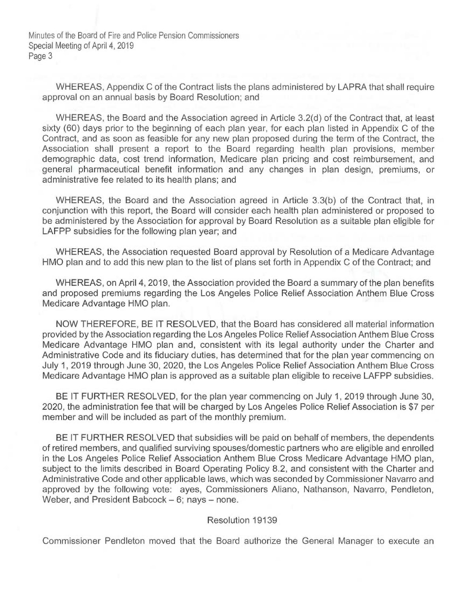Minutes of the Board of Fire and Police Pension Commissioners Special Meeting of April 4, 2019 Page 3

WHEREAS, Appendix C of the Contract lists the plans administered by LAPRA that shall require approval on an annual basis by Board Resolution; and

WHEREAS, the Board and the Association agreed in Article 3.2(d) of the Contract that, at least sixty (60) days prior to the beginning of each plan year, for each plan listed in Appendix C of the Contract, and as soon as feasible for any new plan proposed during the term of the Contract, the Association shall present a report to the Board regarding health plan provisions, member demographic data, cost trend information, Medicare plan pricing and cost reimbursement, and general pharmaceutical benefit information and any changes in plan design, premiums, or administrative fee related to its health plans; and

WHEREAS, the Board and the Association agreed in Article 3.3(b) of the Contract that, in conjunction with this report, the Board will consider each health plan administered or proposed to be administered by the Association for approval by Board Resolution as a suitable plan eligible for LAFPP subsidies for the following plan year; and

WHEREAS, the Association requested Board approval by Resolution of a Medicare Advantage HMO plan and to add this new plan to the list of plans set forth in Appendix C of the Contract; and

WHEREAS, on April 4, 2019, the Association provided the Board a summary of the plan benefits and proposed premiums regarding the Los Angeles Police Relief Association Anthem Blue Cross Medicare Advantage HMO plan.

NOW THEREFORE, BE IT RESOLVED, that the Board has considered all material information provided by the Association regarding the Los Angeles Police Relief Association Anthem Blue Cross Medicare Advantage HMO plan and, consistent with its legal authority under the Charter and Administrative Code and its fiduciary duties, has determined that for the plan year commencing on July 1, 2019 through June 30, 2020, the Los Angeles Police Relief Association Anthem Blue Cross Medicare Advantage HMO plan is approved as a suitable plan eligible to receive LAFPP subsidies.

BE IT FURTHER RESOLVED, for the plan year commencing on July 1, 2019 through June 30, 2020, the administration fee that will be charged by Los Angeles Police Relief Association is \$7 per member and will be included as part of the monthly premium.

BE IT FURTHER RESOLVED that subsidies will be paid on behalf of members, the dependents of retired members, and qualified surviving spouses/domestic partners who are eligible and enrolled in the Los Angeles Police Relief Association Anthem Blue Cross Medicare Advantage HMO plan, subject to the limits described in Board Operating Policy 8.2, and consistent with the Charter and Administrative Code and other applicable laws, which was seconded by Commissioner Navarro and approved by the following vote: ayes, Commissioners Aliano, Nathanson, Navarro, Pendleton, Weber, and President Babcock — 6; nays — none.

### Resolution 19139

Commissioner Pendleton moved that the Board authorize the General Manager to execute an